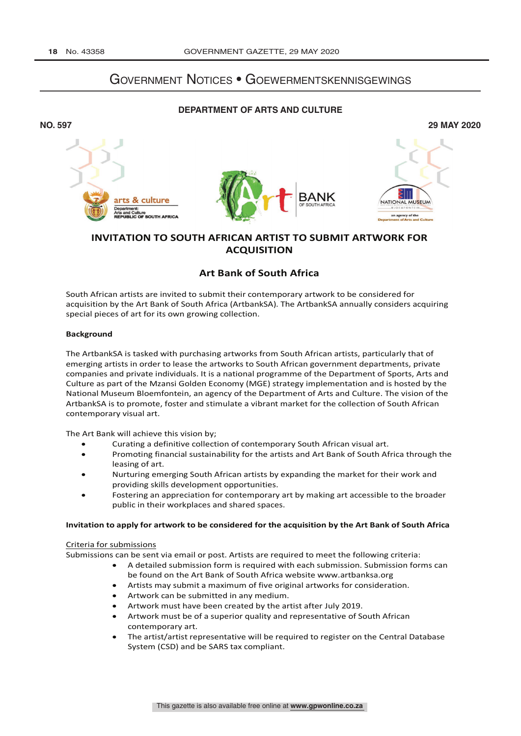# Government Notices • Goewermentskennisgewings

## **DEPARTMENT OF ARTS AND CULTURE**



## **INVITATION TO SOUTH AFRICAN ARTIST TO SUBMIT ARTWORK FOR ACQUISITION**

## **Art Bank of South Africa**

South African artists are invited to submit their contemporary artwork to be considered for acquisition by the Art Bank of South Africa (ArtbankSA). The ArtbankSA annually considers acquiring special pieces of art for its own growing collection.

#### **Background**

The ArtbankSA is tasked with purchasing artworks from South African artists, particularly that of emerging artists in order to lease the artworks to South African government departments, private companies and private individuals. It is a national programme of the Department of Sports, Arts and Culture as part of the Mzansi Golden Economy (MGE) strategy implementation and is hosted by the National Museum Bloemfontein, an agency of the Department of Arts and Culture. The vision of the ArtbankSA is to promote, foster and stimulate a vibrant market for the collection of South African contemporary visual art.

The Art Bank will achieve this vision by;

- Curating a definitive collection of contemporary South African visual art.
- Promoting financial sustainability for the artists and Art Bank of South Africa through the leasing of art.
- Nurturing emerging South African artists by expanding the market for their work and providing skills development opportunities.
- Fostering an appreciation for contemporary art by making art accessible to the broader public in their workplaces and shared spaces.

#### **Invitation to apply for artwork to be considered for the acquisition by the Art Bank of South Africa**

#### Criteria for submissions

Submissions can be sent via email or post. Artists are required to meet the following criteria:

- A detailed submission form is required with each submission. Submission forms can be found on the Art Bank of South Africa website www.artbanksa.org
- Artists may submit a maximum of five original artworks for consideration.
- Artwork can be submitted in any medium.
- Artwork must have been created by the artist after July 2019.
- Artwork must be of a superior quality and representative of South African contemporary art.
- The artist/artist representative will be required to register on the Central Database System (CSD) and be SARS tax compliant.